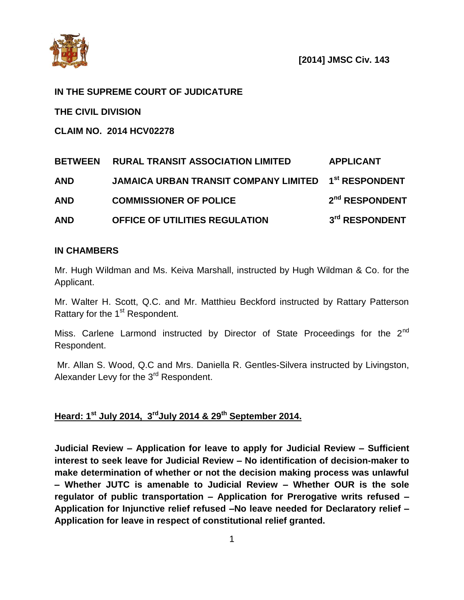

## **IN THE SUPREME COURT OF JUDICATURE**

**THE CIVIL DIVISION**

**CLAIM NO. 2014 HCV02278** 

| <b>BETWEEN</b> | <b>RURAL TRANSIT ASSOCIATION LIMITED</b>                         | <b>APPLICANT</b>           |
|----------------|------------------------------------------------------------------|----------------------------|
| <b>AND</b>     | JAMAICA URBAN TRANSIT COMPANY LIMITED 1 <sup>st</sup> RESPONDENT |                            |
| <b>AND</b>     | <b>COMMISSIONER OF POLICE</b>                                    | 2 <sup>nd</sup> RESPONDENT |
| <b>AND</b>     | <b>OFFICE OF UTILITIES REGULATION</b>                            | 3rd RESPONDENT             |

## **IN CHAMBERS**

Mr. Hugh Wildman and Ms. Keiva Marshall, instructed by Hugh Wildman & Co. for the Applicant.

Mr. Walter H. Scott, Q.C. and Mr. Matthieu Beckford instructed by Rattary Patterson Rattary for the 1<sup>st</sup> Respondent.

Miss. Carlene Larmond instructed by Director of State Proceedings for the 2<sup>nd</sup> Respondent.

Mr. Allan S. Wood, Q.C and Mrs. Daniella R. Gentles-Silvera instructed by Livingston, Alexander Levy for the 3<sup>rd</sup> Respondent.

# **Heard: 1st July 2014, 3 rdJuly 2014 & 29th September 2014.**

**Judicial Review – Application for leave to apply for Judicial Review – Sufficient interest to seek leave for Judicial Review – No identification of decision-maker to make determination of whether or not the decision making process was unlawful – Whether JUTC is amenable to Judicial Review – Whether OUR is the sole regulator of public transportation – Application for Prerogative writs refused – Application for Injunctive relief refused –No leave needed for Declaratory relief – Application for leave in respect of constitutional relief granted.**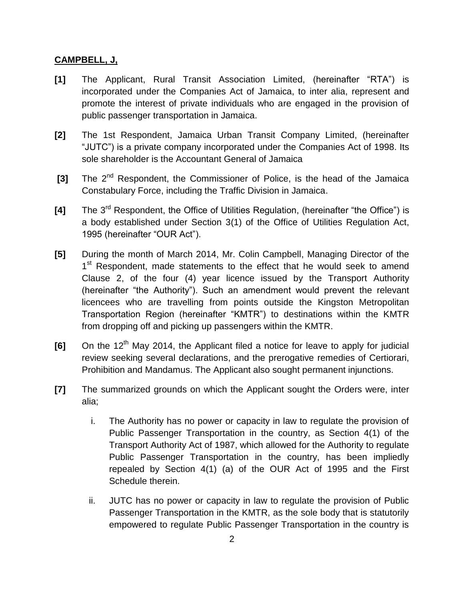## **CAMPBELL, J,**

- **[1]** The Applicant, Rural Transit Association Limited, (hereinafter "RTA") is incorporated under the Companies Act of Jamaica, to inter alia, represent and promote the interest of private individuals who are engaged in the provision of public passenger transportation in Jamaica.
- **[2]** The 1st Respondent, Jamaica Urban Transit Company Limited, (hereinafter "JUTC") is a private company incorporated under the Companies Act of 1998. Its sole shareholder is the Accountant General of Jamaica
- [3] The 2<sup>nd</sup> Respondent, the Commissioner of Police, is the head of the Jamaica Constabulary Force, including the Traffic Division in Jamaica.
- **[4]** The 3rd Respondent, the Office of Utilities Regulation, (hereinafter "the Office") is a body established under Section 3(1) of the Office of Utilities Regulation Act, 1995 (hereinafter "OUR Act").
- **[5]** During the month of March 2014, Mr. Colin Campbell, Managing Director of the 1<sup>st</sup> Respondent, made statements to the effect that he would seek to amend Clause 2, of the four (4) year licence issued by the Transport Authority (hereinafter "the Authority"). Such an amendment would prevent the relevant licencees who are travelling from points outside the Kingston Metropolitan Transportation Region (hereinafter "KMTR") to destinations within the KMTR from dropping off and picking up passengers within the KMTR.
- **[6]** On the 12<sup>th</sup> May 2014, the Applicant filed a notice for leave to apply for judicial review seeking several declarations, and the prerogative remedies of Certiorari, Prohibition and Mandamus. The Applicant also sought permanent injunctions.
- **[7]** The summarized grounds on which the Applicant sought the Orders were, inter alia;
	- i. The Authority has no power or capacity in law to regulate the provision of Public Passenger Transportation in the country, as Section 4(1) of the Transport Authority Act of 1987, which allowed for the Authority to regulate Public Passenger Transportation in the country, has been impliedly repealed by Section 4(1) (a) of the OUR Act of 1995 and the First Schedule therein.
	- ii. JUTC has no power or capacity in law to regulate the provision of Public Passenger Transportation in the KMTR, as the sole body that is statutorily empowered to regulate Public Passenger Transportation in the country is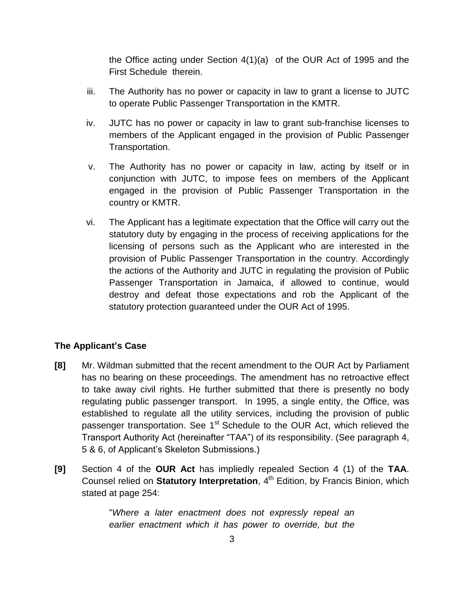the Office acting under Section 4(1)(a) of the OUR Act of 1995 and the First Schedule therein.

- iii. The Authority has no power or capacity in law to grant a license to JUTC to operate Public Passenger Transportation in the KMTR.
- iv. JUTC has no power or capacity in law to grant sub-franchise licenses to members of the Applicant engaged in the provision of Public Passenger Transportation.
- v. The Authority has no power or capacity in law, acting by itself or in conjunction with JUTC, to impose fees on members of the Applicant engaged in the provision of Public Passenger Transportation in the country or KMTR.
- vi. The Applicant has a legitimate expectation that the Office will carry out the statutory duty by engaging in the process of receiving applications for the licensing of persons such as the Applicant who are interested in the provision of Public Passenger Transportation in the country. Accordingly the actions of the Authority and JUTC in regulating the provision of Public Passenger Transportation in Jamaica, if allowed to continue, would destroy and defeat those expectations and rob the Applicant of the statutory protection guaranteed under the OUR Act of 1995.

## **The Applicant's Case**

- **[8]** Mr. Wildman submitted that the recent amendment to the OUR Act by Parliament has no bearing on these proceedings. The amendment has no retroactive effect to take away civil rights. He further submitted that there is presently no body regulating public passenger transport. In 1995, a single entity, the Office, was established to regulate all the utility services, including the provision of public passenger transportation. See 1<sup>st</sup> Schedule to the OUR Act, which relieved the Transport Authority Act (hereinafter "TAA") of its responsibility. (See paragraph 4, 5 & 6, of Applicant's Skeleton Submissions.)
- **[9]** Section 4 of the **OUR Act** has impliedly repealed Section 4 (1) of the **TAA**. Counsel relied on **Statutory Interpretation**, 4<sup>th</sup> Edition, by Francis Binion, which stated at page 254:

"*Where a later enactment does not expressly repeal an earlier enactment which it has power to override, but the*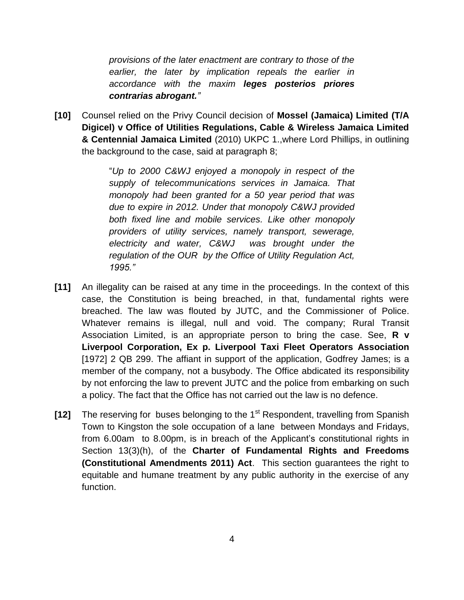*provisions of the later enactment are contrary to those of the earlier, the later by implication repeals the earlier in accordance with the maxim leges posterios priores contrarias abrogant."*

**[10]** Counsel relied on the Privy Council decision of **Mossel (Jamaica) Limited (T/A Digicel) v Office of Utilities Regulations, Cable & Wireless Jamaica Limited & Centennial Jamaica Limited** (2010) UKPC 1.,where Lord Phillips, in outlining the background to the case, said at paragraph 8;

> "*Up to 2000 C&WJ enjoyed a monopoly in respect of the supply of telecommunications services in Jamaica. That monopoly had been granted for a 50 year period that was due to expire in 2012. Under that monopoly C&WJ provided both fixed line and mobile services. Like other monopoly providers of utility services, namely transport, sewerage, electricity and water, C&WJ was brought under the regulation of the OUR by the Office of Utility Regulation Act, 1995."*

- **[11]** An illegality can be raised at any time in the proceedings. In the context of this case, the Constitution is being breached, in that, fundamental rights were breached. The law was flouted by JUTC, and the Commissioner of Police. Whatever remains is illegal, null and void. The company; Rural Transit Association Limited, is an appropriate person to bring the case. See, **R v Liverpool Corporation, Ex p. Liverpool Taxi Fleet Operators Association** [1972] 2 QB 299. The affiant in support of the application, Godfrey James; is a member of the company, not a busybody. The Office abdicated its responsibility by not enforcing the law to prevent JUTC and the police from embarking on such a policy. The fact that the Office has not carried out the law is no defence.
- **[12]** The reserving for buses belonging to the 1<sup>st</sup> Respondent, travelling from Spanish Town to Kingston the sole occupation of a lane between Mondays and Fridays, from 6.00am to 8.00pm, is in breach of the Applicant's constitutional rights in Section 13(3)(h), of the **Charter of Fundamental Rights and Freedoms (Constitutional Amendments 2011) Act**. This section guarantees the right to equitable and humane treatment by any public authority in the exercise of any function.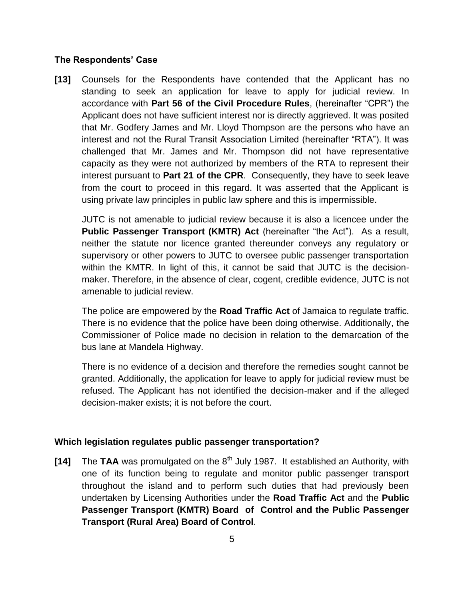### **The Respondents' Case**

**[13]** Counsels for the Respondents have contended that the Applicant has no standing to seek an application for leave to apply for judicial review. In accordance with **Part 56 of the Civil Procedure Rules**, (hereinafter "CPR") the Applicant does not have sufficient interest nor is directly aggrieved. It was posited that Mr. Godfery James and Mr. Lloyd Thompson are the persons who have an interest and not the Rural Transit Association Limited (hereinafter "RTA"). It was challenged that Mr. James and Mr. Thompson did not have representative capacity as they were not authorized by members of the RTA to represent their interest pursuant to **Part 21 of the CPR**. Consequently, they have to seek leave from the court to proceed in this regard. It was asserted that the Applicant is using private law principles in public law sphere and this is impermissible.

JUTC is not amenable to judicial review because it is also a licencee under the **Public Passenger Transport (KMTR) Act** (hereinafter "the Act"). As a result, neither the statute nor licence granted thereunder conveys any regulatory or supervisory or other powers to JUTC to oversee public passenger transportation within the KMTR. In light of this, it cannot be said that JUTC is the decisionmaker. Therefore, in the absence of clear, cogent, credible evidence, JUTC is not amenable to judicial review.

The police are empowered by the **Road Traffic Act** of Jamaica to regulate traffic. There is no evidence that the police have been doing otherwise. Additionally, the Commissioner of Police made no decision in relation to the demarcation of the bus lane at Mandela Highway.

There is no evidence of a decision and therefore the remedies sought cannot be granted. Additionally, the application for leave to apply for judicial review must be refused. The Applicant has not identified the decision-maker and if the alleged decision-maker exists; it is not before the court.

### **Which legislation regulates public passenger transportation?**

**[14]** The TAA was promulgated on the 8<sup>th</sup> July 1987. It established an Authority, with one of its function being to regulate and monitor public passenger transport throughout the island and to perform such duties that had previously been undertaken by Licensing Authorities under the **Road Traffic Act** and the **Public Passenger Transport (KMTR) Board of Control and the Public Passenger Transport (Rural Area) Board of Control**.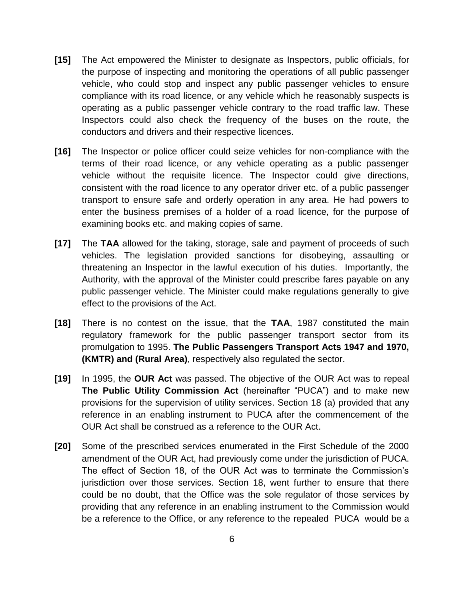- **[15]** The Act empowered the Minister to designate as Inspectors, public officials, for the purpose of inspecting and monitoring the operations of all public passenger vehicle, who could stop and inspect any public passenger vehicles to ensure compliance with its road licence, or any vehicle which he reasonably suspects is operating as a public passenger vehicle contrary to the road traffic law. These Inspectors could also check the frequency of the buses on the route, the conductors and drivers and their respective licences.
- **[16]** The Inspector or police officer could seize vehicles for non-compliance with the terms of their road licence, or any vehicle operating as a public passenger vehicle without the requisite licence. The Inspector could give directions, consistent with the road licence to any operator driver etc. of a public passenger transport to ensure safe and orderly operation in any area. He had powers to enter the business premises of a holder of a road licence, for the purpose of examining books etc. and making copies of same.
- **[17]** The **TAA** allowed for the taking, storage, sale and payment of proceeds of such vehicles. The legislation provided sanctions for disobeying, assaulting or threatening an Inspector in the lawful execution of his duties. Importantly, the Authority, with the approval of the Minister could prescribe fares payable on any public passenger vehicle. The Minister could make regulations generally to give effect to the provisions of the Act.
- **[18]** There is no contest on the issue, that the **TAA**, 1987 constituted the main regulatory framework for the public passenger transport sector from its promulgation to 1995. **The Public Passengers Transport Acts 1947 and 1970, (KMTR) and (Rural Area)**, respectively also regulated the sector.
- **[19]** In 1995, the **OUR Act** was passed. The objective of the OUR Act was to repeal **The Public Utility Commission Act** (hereinafter "PUCA") and to make new provisions for the supervision of utility services. Section 18 (a) provided that any reference in an enabling instrument to PUCA after the commencement of the OUR Act shall be construed as a reference to the OUR Act.
- **[20]** Some of the prescribed services enumerated in the First Schedule of the 2000 amendment of the OUR Act, had previously come under the jurisdiction of PUCA. The effect of Section 18, of the OUR Act was to terminate the Commission's jurisdiction over those services. Section 18, went further to ensure that there could be no doubt, that the Office was the sole regulator of those services by providing that any reference in an enabling instrument to the Commission would be a reference to the Office, or any reference to the repealed PUCA would be a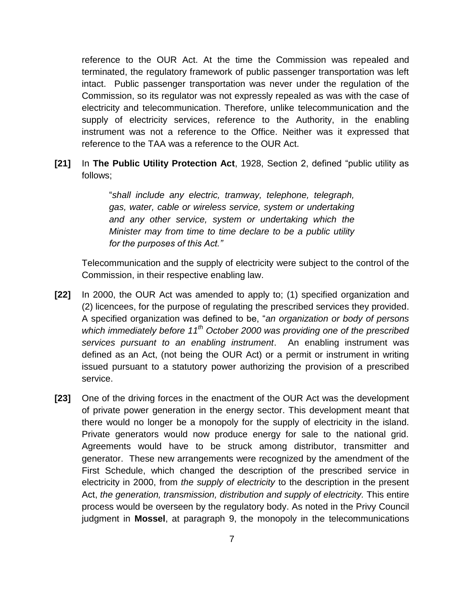reference to the OUR Act. At the time the Commission was repealed and terminated, the regulatory framework of public passenger transportation was left intact. Public passenger transportation was never under the regulation of the Commission, so its regulator was not expressly repealed as was with the case of electricity and telecommunication. Therefore, unlike telecommunication and the supply of electricity services, reference to the Authority, in the enabling instrument was not a reference to the Office. Neither was it expressed that reference to the TAA was a reference to the OUR Act.

**[21]** In **The Public Utility Protection Act**, 1928, Section 2, defined "public utility as follows;

> "*shall include any electric, tramway, telephone, telegraph, gas, water, cable or wireless service, system or undertaking and any other service, system or undertaking which the Minister may from time to time declare to be a public utility for the purposes of this Act."*

Telecommunication and the supply of electricity were subject to the control of the Commission, in their respective enabling law.

- **[22]** In 2000, the OUR Act was amended to apply to; (1) specified organization and (2) licencees, for the purpose of regulating the prescribed services they provided. A specified organization was defined to be, "*an organization or body of persons which immediately before 11th October 2000 was providing one of the prescribed services pursuant to an enabling instrument*. An enabling instrument was defined as an Act, (not being the OUR Act) or a permit or instrument in writing issued pursuant to a statutory power authorizing the provision of a prescribed service.
- **[23]** One of the driving forces in the enactment of the OUR Act was the development of private power generation in the energy sector. This development meant that there would no longer be a monopoly for the supply of electricity in the island. Private generators would now produce energy for sale to the national grid. Agreements would have to be struck among distributor, transmitter and generator. These new arrangements were recognized by the amendment of the First Schedule, which changed the description of the prescribed service in electricity in 2000, from *the supply of electricity* to the description in the present Act, *the generation, transmission, distribution and supply of electricity.* This entire process would be overseen by the regulatory body. As noted in the Privy Council judgment in **Mossel**, at paragraph 9, the monopoly in the telecommunications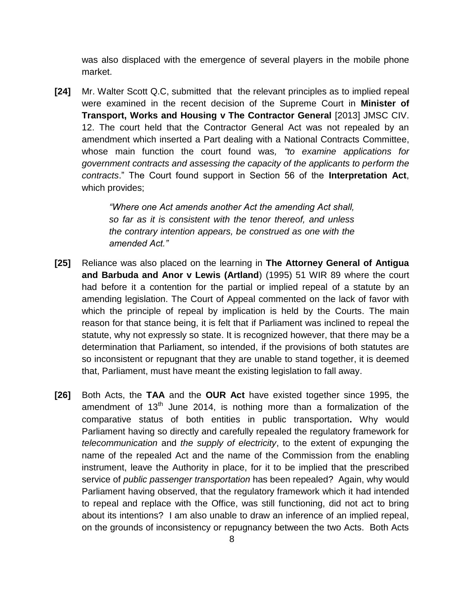was also displaced with the emergence of several players in the mobile phone market.

**[24]** Mr. Walter Scott Q.C, submitted that the relevant principles as to implied repeal were examined in the recent decision of the Supreme Court in **Minister of Transport, Works and Housing v The Contractor General** [2013] JMSC CIV. 12. The court held that the Contractor General Act was not repealed by an amendment which inserted a Part dealing with a National Contracts Committee, whose main function the court found was*, "to examine applications for government contracts and assessing the capacity of the applicants to perform the contracts*." The Court found support in Section 56 of the **Interpretation Act**, which provides;

> *"Where one Act amends another Act the amending Act shall, so far as it is consistent with the tenor thereof, and unless the contrary intention appears, be construed as one with the amended Act."*

- **[25]** Reliance was also placed on the learning in **The Attorney General of Antigua and Barbuda and Anor v Lewis (Artland**) (1995) 51 WIR 89 where the court had before it a contention for the partial or implied repeal of a statute by an amending legislation. The Court of Appeal commented on the lack of favor with which the principle of repeal by implication is held by the Courts. The main reason for that stance being, it is felt that if Parliament was inclined to repeal the statute, why not expressly so state. It is recognized however, that there may be a determination that Parliament, so intended, if the provisions of both statutes are so inconsistent or repugnant that they are unable to stand together, it is deemed that, Parliament, must have meant the existing legislation to fall away.
- **[26]** Both Acts, the **TAA** and the **OUR Act** have existed together since 1995, the amendment of  $13<sup>th</sup>$  June 2014, is nothing more than a formalization of the comparative status of both entities in public transportation**.** Why would Parliament having so directly and carefully repealed the regulatory framework for *telecommunication* and *the supply of electricity*, to the extent of expunging the name of the repealed Act and the name of the Commission from the enabling instrument, leave the Authority in place, for it to be implied that the prescribed service of *public passenger transportation* has been repealed? Again, why would Parliament having observed, that the regulatory framework which it had intended to repeal and replace with the Office, was still functioning, did not act to bring about its intentions? I am also unable to draw an inference of an implied repeal, on the grounds of inconsistency or repugnancy between the two Acts. Both Acts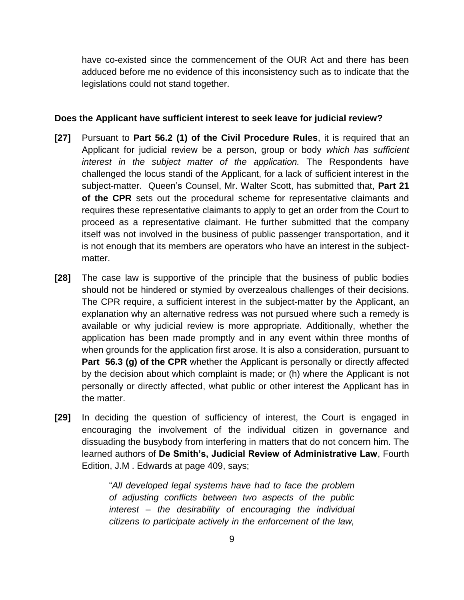have co-existed since the commencement of the OUR Act and there has been adduced before me no evidence of this inconsistency such as to indicate that the legislations could not stand together.

### **Does the Applicant have sufficient interest to seek leave for judicial review?**

- **[27]** Pursuant to **Part 56.2 (1) of the Civil Procedure Rules**, it is required that an Applicant for judicial review be a person, group or body *which has sufficient interest in the subject matter of the application.* The Respondents have challenged the locus standi of the Applicant, for a lack of sufficient interest in the subject-matter. Queen's Counsel, Mr. Walter Scott, has submitted that, **Part 21 of the CPR** sets out the procedural scheme for representative claimants and requires these representative claimants to apply to get an order from the Court to proceed as a representative claimant. He further submitted that the company itself was not involved in the business of public passenger transportation, and it is not enough that its members are operators who have an interest in the subjectmatter.
- **[28]** The case law is supportive of the principle that the business of public bodies should not be hindered or stymied by overzealous challenges of their decisions. The CPR require, a sufficient interest in the subject-matter by the Applicant, an explanation why an alternative redress was not pursued where such a remedy is available or why judicial review is more appropriate. Additionally, whether the application has been made promptly and in any event within three months of when grounds for the application first arose. It is also a consideration, pursuant to **Part 56.3 (g) of the CPR** whether the Applicant is personally or directly affected by the decision about which complaint is made; or (h) where the Applicant is not personally or directly affected, what public or other interest the Applicant has in the matter.
- **[29]** In deciding the question of sufficiency of interest, the Court is engaged in encouraging the involvement of the individual citizen in governance and dissuading the busybody from interfering in matters that do not concern him. The learned authors of **De Smith's, Judicial Review of Administrative Law**, Fourth Edition, J.M . Edwards at page 409, says;

"*All developed legal systems have had to face the problem of adjusting conflicts between two aspects of the public interest – the desirability of encouraging the individual citizens to participate actively in the enforcement of the law,*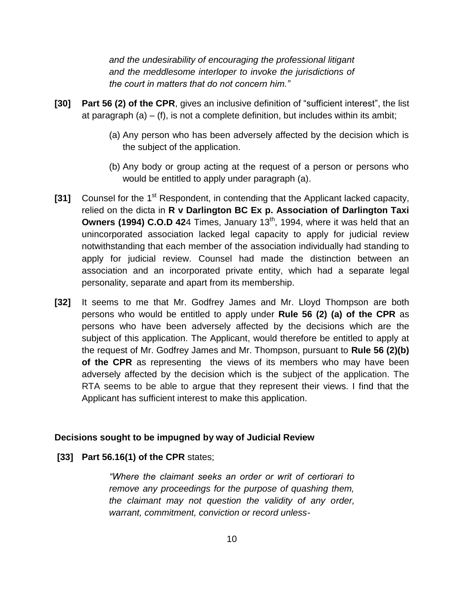*and the undesirability of encouraging the professional litigant and the meddlesome interloper to invoke the jurisdictions of the court in matters that do not concern him."*

- **[30] Part 56 (2) of the CPR**, gives an inclusive definition of "sufficient interest", the list at paragraph  $(a) - (f)$ , is not a complete definition, but includes within its ambit;
	- (a) Any person who has been adversely affected by the decision which is the subject of the application.
	- (b) Any body or group acting at the request of a person or persons who would be entitled to apply under paragraph (a).
- [31] Counsel for the 1<sup>st</sup> Respondent, in contending that the Applicant lacked capacity, relied on the dicta in **R v Darlington BC Ex p. Association of Darlington Taxi Owners (1994) C.O.D 42**4 Times, January 13<sup>th</sup>, 1994, where it was held that an unincorporated association lacked legal capacity to apply for judicial review notwithstanding that each member of the association individually had standing to apply for judicial review. Counsel had made the distinction between an association and an incorporated private entity, which had a separate legal personality, separate and apart from its membership.
- **[32]** It seems to me that Mr. Godfrey James and Mr. Lloyd Thompson are both persons who would be entitled to apply under **Rule 56 (2) (a) of the CPR** as persons who have been adversely affected by the decisions which are the subject of this application. The Applicant, would therefore be entitled to apply at the request of Mr. Godfrey James and Mr. Thompson, pursuant to **Rule 56 (2)(b) of the CPR** as representing the views of its members who may have been adversely affected by the decision which is the subject of the application. The RTA seems to be able to argue that they represent their views. I find that the Applicant has sufficient interest to make this application.

### **Decisions sought to be impugned by way of Judicial Review**

### **[33] Part 56.16(1) of the CPR** states;

*"Where the claimant seeks an order or writ of certiorari to remove any proceedings for the purpose of quashing them, the claimant may not question the validity of any order, warrant, commitment, conviction or record unless-*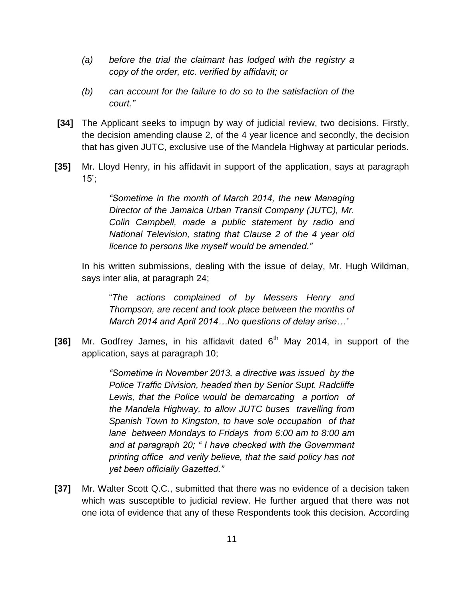- *(a) before the trial the claimant has lodged with the registry a copy of the order, etc. verified by affidavit; or*
- *(b) can account for the failure to do so to the satisfaction of the court."*
- **[34]** The Applicant seeks to impugn by way of judicial review, two decisions. Firstly, the decision amending clause 2, of the 4 year licence and secondly, the decision that has given JUTC, exclusive use of the Mandela Highway at particular periods.
- **[35]** Mr. Lloyd Henry, in his affidavit in support of the application, says at paragraph 15';

*"Sometime in the month of March 2014, the new Managing Director of the Jamaica Urban Transit Company (JUTC), Mr. Colin Campbell, made a public statement by radio and National Television, stating that Clause 2 of the 4 year old licence to persons like myself would be amended."* 

In his written submissions, dealing with the issue of delay, Mr. Hugh Wildman, says inter alia, at paragraph 24;

"*The actions complained of by Messers Henry and Thompson, are recent and took place between the months of March 2014 and April 2014…No questions of delay arise…'*

[36] Mr. Godfrey James, in his affidavit dated 6<sup>th</sup> May 2014, in support of the application, says at paragraph 10;

> *"Sometime in November 2013, a directive was issued by the Police Traffic Division, headed then by Senior Supt. Radcliffe Lewis, that the Police would be demarcating a portion of the Mandela Highway, to allow JUTC buses travelling from Spanish Town to Kingston, to have sole occupation of that lane between Mondays to Fridays from 6:00 am to 8:00 am and at paragraph 20; " I have checked with the Government printing office and verily believe, that the said policy has not yet been officially Gazetted."*

**[37]** Mr. Walter Scott Q.C., submitted that there was no evidence of a decision taken which was susceptible to judicial review. He further argued that there was not one iota of evidence that any of these Respondents took this decision. According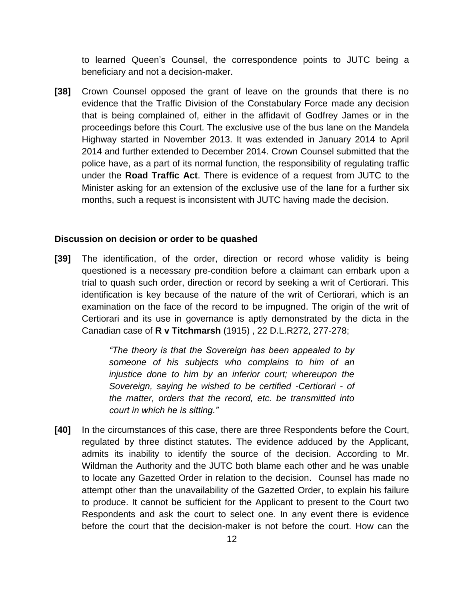to learned Queen's Counsel, the correspondence points to JUTC being a beneficiary and not a decision-maker.

**[38]** Crown Counsel opposed the grant of leave on the grounds that there is no evidence that the Traffic Division of the Constabulary Force made any decision that is being complained of, either in the affidavit of Godfrey James or in the proceedings before this Court. The exclusive use of the bus lane on the Mandela Highway started in November 2013. It was extended in January 2014 to April 2014 and further extended to December 2014. Crown Counsel submitted that the police have, as a part of its normal function, the responsibility of regulating traffic under the **Road Traffic Act**. There is evidence of a request from JUTC to the Minister asking for an extension of the exclusive use of the lane for a further six months, such a request is inconsistent with JUTC having made the decision.

#### **Discussion on decision or order to be quashed**

**[39]** The identification, of the order, direction or record whose validity is being questioned is a necessary pre-condition before a claimant can embark upon a trial to quash such order, direction or record by seeking a writ of Certiorari. This identification is key because of the nature of the writ of Certiorari, which is an examination on the face of the record to be impugned. The origin of the writ of Certiorari and its use in governance is aptly demonstrated by the dicta in the Canadian case of **R v Titchmarsh** (1915) , 22 D.L.R272, 277-278;

> *"The theory is that the Sovereign has been appealed to by someone of his subjects who complains to him of an injustice done to him by an inferior court; whereupon the Sovereign, saying he wished to be certified -Certiorari - of the matter, orders that the record, etc. be transmitted into court in which he is sitting."*

**[40]** In the circumstances of this case, there are three Respondents before the Court, regulated by three distinct statutes. The evidence adduced by the Applicant, admits its inability to identify the source of the decision. According to Mr. Wildman the Authority and the JUTC both blame each other and he was unable to locate any Gazetted Order in relation to the decision. Counsel has made no attempt other than the unavailability of the Gazetted Order, to explain his failure to produce. It cannot be sufficient for the Applicant to present to the Court two Respondents and ask the court to select one. In any event there is evidence before the court that the decision-maker is not before the court. How can the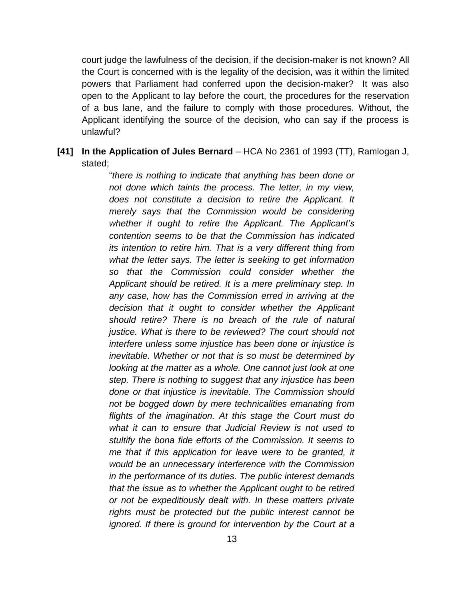court judge the lawfulness of the decision, if the decision-maker is not known? All the Court is concerned with is the legality of the decision, was it within the limited powers that Parliament had conferred upon the decision-maker? It was also open to the Applicant to lay before the court, the procedures for the reservation of a bus lane, and the failure to comply with those procedures. Without, the Applicant identifying the source of the decision, who can say if the process is unlawful?

## **[41] In the Application of Jules Bernard** – HCA No 2361 of 1993 (TT), Ramlogan J, stated;

"*there is nothing to indicate that anything has been done or not done which taints the process. The letter, in my view, does not constitute a decision to retire the Applicant. It merely says that the Commission would be considering whether it ought to retire the Applicant. The Applicant's contention seems to be that the Commission has indicated its intention to retire him. That is a very different thing from what the letter says. The letter is seeking to get information so that the Commission could consider whether the Applicant should be retired. It is a mere preliminary step. In any case, how has the Commission erred in arriving at the decision that it ought to consider whether the Applicant should retire? There is no breach of the rule of natural justice. What is there to be reviewed? The court should not interfere unless some injustice has been done or injustice is inevitable. Whether or not that is so must be determined by looking at the matter as a whole. One cannot just look at one step. There is nothing to suggest that any injustice has been done or that injustice is inevitable. The Commission should not be bogged down by mere technicalities emanating from flights of the imagination. At this stage the Court must do what it can to ensure that Judicial Review is not used to stultify the bona fide efforts of the Commission. It seems to me that if this application for leave were to be granted, it would be an unnecessary interference with the Commission in the performance of its duties. The public interest demands that the issue as to whether the Applicant ought to be retired or not be expeditiously dealt with. In these matters private rights must be protected but the public interest cannot be ignored. If there is ground for intervention by the Court at a*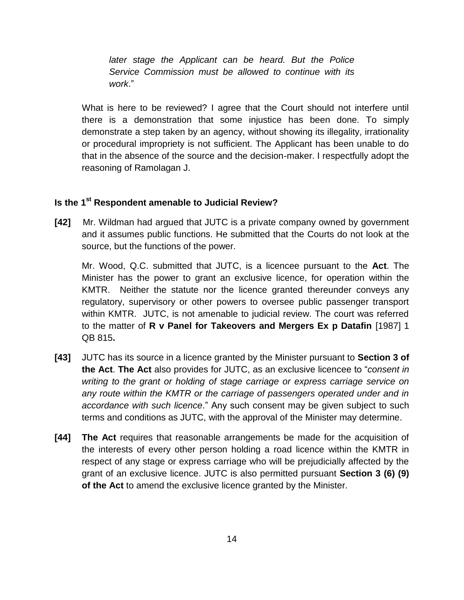*later stage the Applicant can be heard. But the Police Service Commission must be allowed to continue with its work*."

What is here to be reviewed? I agree that the Court should not interfere until there is a demonstration that some injustice has been done. To simply demonstrate a step taken by an agency, without showing its illegality, irrationality or procedural impropriety is not sufficient. The Applicant has been unable to do that in the absence of the source and the decision-maker. I respectfully adopt the reasoning of Ramolagan J.

### **Is the 1st Respondent amenable to Judicial Review?**

**[42]** Mr. Wildman had argued that JUTC is a private company owned by government and it assumes public functions. He submitted that the Courts do not look at the source, but the functions of the power.

Mr. Wood, Q.C. submitted that JUTC, is a licencee pursuant to the **Act**. The Minister has the power to grant an exclusive licence, for operation within the KMTR. Neither the statute nor the licence granted thereunder conveys any regulatory, supervisory or other powers to oversee public passenger transport within KMTR. JUTC, is not amenable to judicial review. The court was referred to the matter of **[R v Panel for Takeovers and Mergers Ex p Datafin](http://en.wikipedia.org/wiki/R_v_Panel_for_Takeovers_and_Mergers_Ex_p_Datafin)** [1987] 1 QB 815**.**

- **[43]** JUTC has its source in a licence granted by the Minister pursuant to **Section 3 of the Act**. **The Act** also provides for JUTC, as an exclusive licencee to "*consent in writing to the grant or holding of stage carriage or express carriage service on any route within the KMTR or the carriage of passengers operated under and in accordance with such licence*." Any such consent may be given subject to such terms and conditions as JUTC, with the approval of the Minister may determine.
- **[44] The Act** requires that reasonable arrangements be made for the acquisition of the interests of every other person holding a road licence within the KMTR in respect of any stage or express carriage who will be prejudicially affected by the grant of an exclusive licence. JUTC is also permitted pursuant **Section 3 (6) (9) of the Act** to amend the exclusive licence granted by the Minister.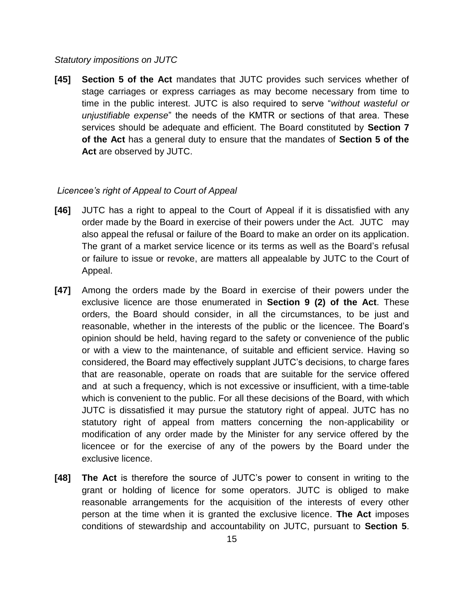#### *Statutory impositions on JUTC*

**[45] Section 5 of the Act** mandates that JUTC provides such services whether of stage carriages or express carriages as may become necessary from time to time in the public interest. JUTC is also required to serve "*without wasteful or unjustifiable expense*" the needs of the KMTR or sections of that area. These services should be adequate and efficient. The Board constituted by **Section 7 of the Act** has a general duty to ensure that the mandates of **Section 5 of the Act** are observed by JUTC.

#### *Licencee's right of Appeal to Court of Appeal*

- **[46]** JUTC has a right to appeal to the Court of Appeal if it is dissatisfied with any order made by the Board in exercise of their powers under the Act. JUTC may also appeal the refusal or failure of the Board to make an order on its application. The grant of a market service licence or its terms as well as the Board's refusal or failure to issue or revoke, are matters all appealable by JUTC to the Court of Appeal.
- **[47]** Among the orders made by the Board in exercise of their powers under the exclusive licence are those enumerated in **Section 9 (2) of the Act**. These orders, the Board should consider, in all the circumstances, to be just and reasonable, whether in the interests of the public or the licencee. The Board's opinion should be held, having regard to the safety or convenience of the public or with a view to the maintenance, of suitable and efficient service. Having so considered, the Board may effectively supplant JUTC's decisions, to charge fares that are reasonable, operate on roads that are suitable for the service offered and at such a frequency, which is not excessive or insufficient, with a time-table which is convenient to the public. For all these decisions of the Board, with which JUTC is dissatisfied it may pursue the statutory right of appeal. JUTC has no statutory right of appeal from matters concerning the non-applicability or modification of any order made by the Minister for any service offered by the licencee or for the exercise of any of the powers by the Board under the exclusive licence.
- **[48] The Act** is therefore the source of JUTC's power to consent in writing to the grant or holding of licence for some operators. JUTC is obliged to make reasonable arrangements for the acquisition of the interests of every other person at the time when it is granted the exclusive licence. **The Act** imposes conditions of stewardship and accountability on JUTC, pursuant to **Section 5**.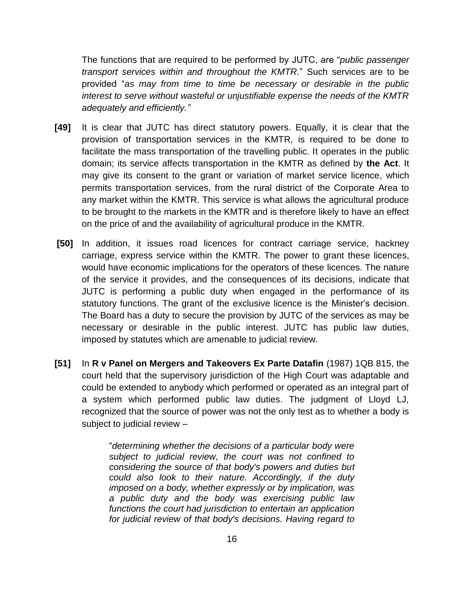The functions that are required to be performed by JUTC, are "*public passenger transport services within and throughout the KMTR.*" Such services are to be provided "*as may from time to time be necessary or desirable in the public interest to serve without wasteful or unjustifiable expense the needs of the KMTR adequately and efficiently."*

- **[49]** It is clear that JUTC has direct statutory powers. Equally, it is clear that the provision of transportation services in the KMTR, is required to be done to facilitate the mass transportation of the travelling public. It operates in the public domain; its service affects transportation in the KMTR as defined by **the Act**. It may give its consent to the grant or variation of market service licence, which permits transportation services, from the rural district of the Corporate Area to any market within the KMTR. This service is what allows the agricultural produce to be brought to the markets in the KMTR and is therefore likely to have an effect on the price of and the availability of agricultural produce in the KMTR.
- **[50]** In addition, it issues road licences for contract carriage service, hackney carriage, express service within the KMTR. The power to grant these licences, would have economic implications for the operators of these licences. The nature of the service it provides, and the consequences of its decisions, indicate that JUTC is performing a public duty when engaged in the performance of its statutory functions. The grant of the exclusive licence is the Minister's decision. The Board has a duty to secure the provision by JUTC of the services as may be necessary or desirable in the public interest. JUTC has public law duties, imposed by statutes which are amenable to judicial review.
- **[51]** In **R v Panel on Mergers and Takeovers Ex Parte Datafin** (1987) 1QB 815, the court held that the supervisory jurisdiction of the High Court was adaptable and could be extended to anybody which performed or operated as an integral part of a system which performed public law duties. The judgment of Lloyd LJ, recognized that the source of power was not the only test as to whether a body is subject to judicial review –

"*determining whether the decisions of a particular body were subject to judicial review, the court was not confined to considering the source of that body's powers and duties but could also look to their nature. Accordingly, if the duty imposed on a body, whether expressly or by implication, was a public duty and the body was exercising public law functions the court had jurisdiction to entertain an application for judicial review of that body's decisions. Having regard to*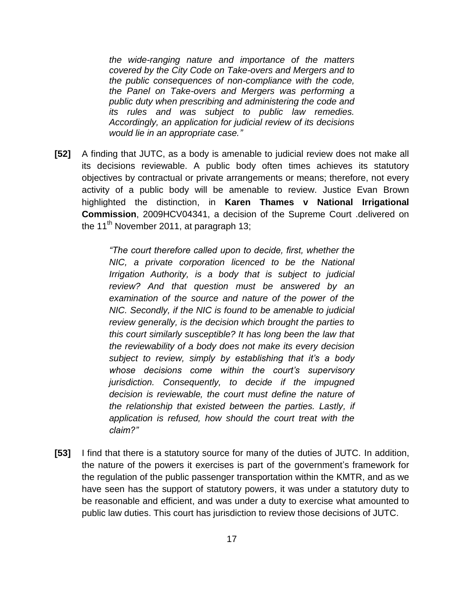*the wide-ranging nature and importance of the matters covered by the City Code on Take-overs and Mergers and to the public consequences of non-compliance with the code, the Panel on Take-overs and Mergers was performing a public duty when prescribing and administering the code and its rules and was subject to public law remedies. Accordingly, an application for judicial review of its decisions would lie in an appropriate case."*

**[52]** A finding that JUTC, as a body is amenable to judicial review does not make all its decisions reviewable. A public body often times achieves its statutory objectives by contractual or private arrangements or means; therefore, not every activity of a public body will be amenable to review. Justice Evan Brown highlighted the distinction, in **Karen Thames v National Irrigational Commission**, 2009HCV04341, a decision of the Supreme Court .delivered on the 11<sup>th</sup> November 2011, at paragraph 13:

> *"The court therefore called upon to decide, first, whether the NIC, a private corporation licenced to be the National Irrigation Authority, is a body that is subject to judicial review? And that question must be answered by an examination of the source and nature of the power of the NIC. Secondly, if the NIC is found to be amenable to judicial review generally, is the decision which brought the parties to this court similarly susceptible? It has long been the law that the reviewability of a body does not make its every decision subject to review, simply by establishing that it's a body whose decisions come within the court's supervisory jurisdiction. Consequently, to decide if the impugned decision is reviewable, the court must define the nature of the relationship that existed between the parties. Lastly, if application is refused, how should the court treat with the claim?"*

**[53]** I find that there is a statutory source for many of the duties of JUTC. In addition, the nature of the powers it exercises is part of the government's framework for the regulation of the public passenger transportation within the KMTR, and as we have seen has the support of statutory powers, it was under a statutory duty to be reasonable and efficient, and was under a duty to exercise what amounted to public law duties. This court has jurisdiction to review those decisions of JUTC.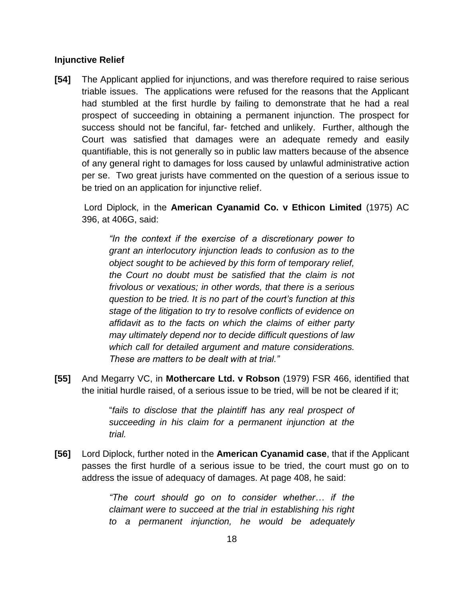#### **Injunctive Relief**

**[54]** The Applicant applied for injunctions, and was therefore required to raise serious triable issues. The applications were refused for the reasons that the Applicant had stumbled at the first hurdle by failing to demonstrate that he had a real prospect of succeeding in obtaining a permanent injunction. The prospect for success should not be fanciful, far- fetched and unlikely. Further, although the Court was satisfied that damages were an adequate remedy and easily quantifiable, this is not generally so in public law matters because of the absence of any general right to damages for loss caused by unlawful administrative action per se. Two great jurists have commented on the question of a serious issue to be tried on an application for injunctive relief.

Lord Diplock, in the **American Cyanamid Co. v Ethicon Limited** (1975) AC 396, at 406G, said:

*"In the context if the exercise of a discretionary power to grant an interlocutory injunction leads to confusion as to the object sought to be achieved by this form of temporary relief, the Court no doubt must be satisfied that the claim is not frivolous or vexatious; in other words, that there is a serious question to be tried. It is no part of the court's function at this stage of the litigation to try to resolve conflicts of evidence on affidavit as to the facts on which the claims of either party may ultimately depend nor to decide difficult questions of law which call for detailed argument and mature considerations. These are matters to be dealt with at trial."*

**[55]** And Megarry VC, in **Mothercare Ltd. v Robson** (1979) FSR 466, identified that the initial hurdle raised, of a serious issue to be tried, will be not be cleared if it;

> "*fails to disclose that the plaintiff has any real prospect of succeeding in his claim for a permanent injunction at the trial.*

**[56]** Lord Diplock, further noted in the **American Cyanamid case**, that if the Applicant passes the first hurdle of a serious issue to be tried, the court must go on to address the issue of adequacy of damages. At page 408, he said:

> *"The court should go on to consider whether… if the claimant were to succeed at the trial in establishing his right to a permanent injunction, he would be adequately*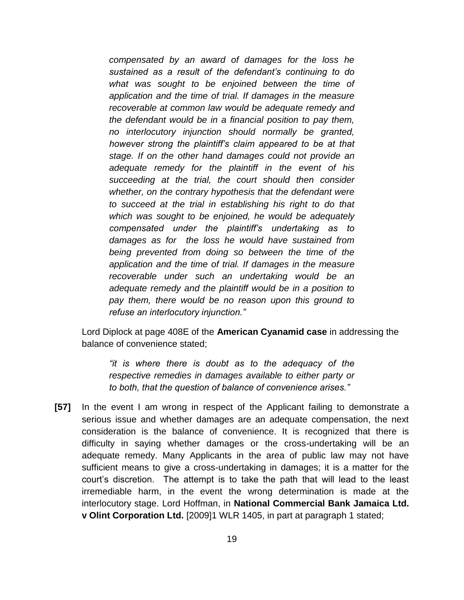*compensated by an award of damages for the loss he sustained as a result of the defendant's continuing to do what was sought to be enjoined between the time of application and the time of trial. If damages in the measure recoverable at common law would be adequate remedy and the defendant would be in a financial position to pay them, no interlocutory injunction should normally be granted, however strong the plaintiff's claim appeared to be at that stage. If on the other hand damages could not provide an adequate remedy for the plaintiff in the event of his succeeding at the trial, the court should then consider whether, on the contrary hypothesis that the defendant were to succeed at the trial in establishing his right to do that which was sought to be enjoined, he would be adequately compensated under the plaintiff's undertaking as to damages as for the loss he would have sustained from being prevented from doing so between the time of the application and the time of trial. If damages in the measure recoverable under such an undertaking would be an adequate remedy and the plaintiff would be in a position to pay them, there would be no reason upon this ground to refuse an interlocutory injunction."*

Lord Diplock at page 408E of the **American Cyanamid case** in addressing the balance of convenience stated;

*"it is where there is doubt as to the adequacy of the respective remedies in damages available to either party or to both, that the question of balance of convenience arises."*

**[57]** In the event I am wrong in respect of the Applicant failing to demonstrate a serious issue and whether damages are an adequate compensation, the next consideration is the balance of convenience. It is recognized that there is difficulty in saying whether damages or the cross-undertaking will be an adequate remedy. Many Applicants in the area of public law may not have sufficient means to give a cross-undertaking in damages; it is a matter for the court's discretion. The attempt is to take the path that will lead to the least irremediable harm, in the event the wrong determination is made at the interlocutory stage. Lord Hoffman, in **National Commercial Bank Jamaica Ltd. v Olint Corporation Ltd.** [2009]1 WLR 1405, in part at paragraph 1 stated;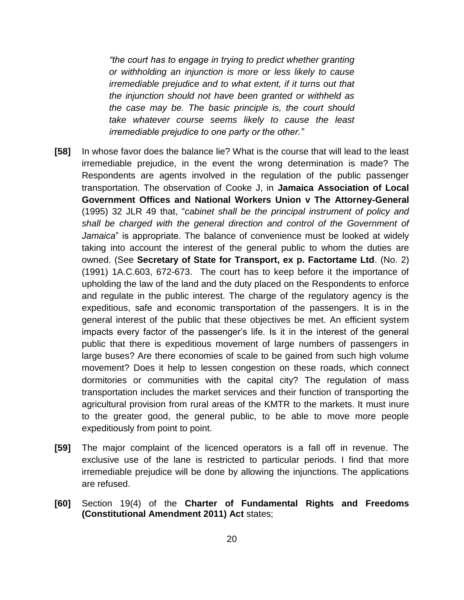*"the court has to engage in trying to predict whether granting or withholding an injunction is more or less likely to cause irremediable prejudice and to what extent, if it turns out that the injunction should not have been granted or withheld as the case may be. The basic principle is, the court should take whatever course seems likely to cause the least irremediable prejudice to one party or the other."*

- **[58]** In whose favor does the balance lie? What is the course that will lead to the least irremediable prejudice, in the event the wrong determination is made? The Respondents are agents involved in the regulation of the public passenger transportation. The observation of Cooke J, in **Jamaica Association of Local Government Offices and National Workers Union v The Attorney-General**  (1995) 32 JLR 49 that, "*cabinet shall be the principal instrument of policy and shall be charged with the general direction and control of the Government of Jamaica*" is appropriate. The balance of convenience must be looked at widely taking into account the interest of the general public to whom the duties are owned. (See **Secretary of State for Transport, ex p. Factortame Ltd**. (No. 2) (1991) 1A.C.603, 672-673. The court has to keep before it the importance of upholding the law of the land and the duty placed on the Respondents to enforce and regulate in the public interest. The charge of the regulatory agency is the expeditious, safe and economic transportation of the passengers. It is in the general interest of the public that these objectives be met. An efficient system impacts every factor of the passenger's life. Is it in the interest of the general public that there is expeditious movement of large numbers of passengers in large buses? Are there economies of scale to be gained from such high volume movement? Does it help to lessen congestion on these roads, which connect dormitories or communities with the capital city? The regulation of mass transportation includes the market services and their function of transporting the agricultural provision from rural areas of the KMTR to the markets. It must inure to the greater good, the general public, to be able to move more people expeditiously from point to point.
- **[59]** The major complaint of the licenced operators is a fall off in revenue. The exclusive use of the lane is restricted to particular periods. I find that more irremediable prejudice will be done by allowing the injunctions. The applications are refused.
- **[60]** Section 19(4) of the **Charter of Fundamental Rights and Freedoms (Constitutional Amendment 2011) Act** states;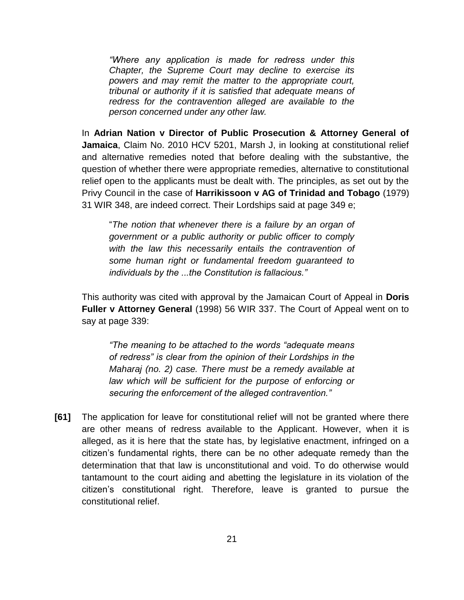*"Where any application is made for redress under this Chapter, the Supreme Court may decline to exercise its powers and may remit the matter to the appropriate court, tribunal or authority if it is satisfied that adequate means of redress for the contravention alleged are available to the person concerned under any other law.* 

In **Adrian Nation v Director of Public Prosecution & Attorney General of Jamaica**, Claim No. 2010 HCV 5201, Marsh J, in looking at constitutional relief and alternative remedies noted that before dealing with the substantive, the question of whether there were appropriate remedies, alternative to constitutional relief open to the applicants must be dealt with. The principles, as set out by the Privy Council in the case of **Harrikissoon v AG of Trinidad and Tobago** (1979) 31 WIR 348, are indeed correct. Their Lordships said at page 349 e;

"*The notion that whenever there is a failure by an organ of government or a public authority or public officer to comply with the law this necessarily entails the contravention of some human right or fundamental freedom guaranteed to individuals by the ...the Constitution is fallacious."*

This authority was cited with approval by the Jamaican Court of Appeal in **Doris Fuller v Attorney General** (1998) 56 WIR 337. The Court of Appeal went on to say at page 339:

*"The meaning to be attached to the words "adequate means of redress" is clear from the opinion of their Lordships in the Maharaj (no. 2) case. There must be a remedy available at law which will be sufficient for the purpose of enforcing or securing the enforcement of the alleged contravention."* 

**[61]** The application for leave for constitutional relief will not be granted where there are other means of redress available to the Applicant. However, when it is alleged, as it is here that the state has, by legislative enactment, infringed on a citizen's fundamental rights, there can be no other adequate remedy than the determination that that law is unconstitutional and void. To do otherwise would tantamount to the court aiding and abetting the legislature in its violation of the citizen's constitutional right. Therefore, leave is granted to pursue the constitutional relief.